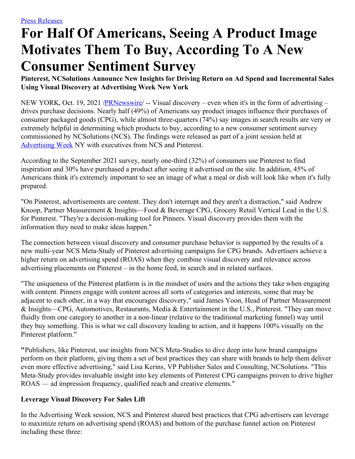# **For Half Of Americans, Seeing A Product Image Motivates Them To Buy, According To A New Consumer Sentiment Survey**

**Pinterest, NCSolutions Announce New Insights for Driving Return on Ad Spend and Incremental Sales Using Visual Discovery at Advertising Week New York**

NEW YORK, Oct. 19, 2021 /**PRNewswire/ --** Visual discovery – even when it's in the form of advertising – drives purchase decisions. Nearly half (49%) of Americans say product images influence their purchases of consumer packaged goods (CPG), while almost three-quarters (74%) say images in search results are very or extremely helpful in determining which products to buy, according to a new consumer sentiment survey commissioned by NCSolutions (NCS). The findings were released as part of a joint session held at [Advertising](https://c212.net/c/link/?t=0&l=en&o=3328227-1&h=1001773062&u=https%3A%2F%2Fnewyork.advertisingweek.com%2Faw%2Fschedule%2Fsession%2F-396-2021-10-19-1130-from-inspiration-to-action-how-visual-discovery-delivers-roas&a=Advertising+Week) Week NY with executives from NCS and Pinterest.

According to the September 2021 survey, nearly one-third (32%) of consumers use Pinterest to find inspiration and 30% have purchased a product after seeing it advertised on the site. In addition, 45% of Americans think it's extremely important to see an image of what a meal or dish will look like when it's fully prepared.

"On Pinterest, advertisements are content. They don't interrupt and they aren't a distraction," said Andrew Knoop, Partner Measurement & Insights—Food & Beverage CPG, Grocery Retail Vertical Lead in the U.S. for Pinterest. "They're a decision-making tool for Pinners. Visual discovery provides them with the information they need to make ideas happen."

The connection between visual discovery and consumer purchase behavior is supported by the results of a new multi-year NCS Meta-Study of Pinterest advertising campaigns for CPG brands. Advertisers achieve a higher return on advertising spend (ROAS) when they combine visual discovery and relevance across advertising placements on Pinterest – in the home feed, in search and in related surfaces.

"The uniqueness of the Pinterest platform is in the mindset of users and the actions they take when engaging with content. Pinners engage with content across all sorts of categories and interests, some that may be adjacent to each other, in a way that encourages discovery," said James Yoon, Head of Partner Measurement & Insights—CPG, Automotives, Restaurants, Media & Entertainment in the U.S., Pinterest. "They can move fluidly from one category to another in a non-linear (relative to the traditional marketing funnel) way until they buy something. This is what we call discovery leading to action, and it happens 100% visually on the Pinterest platform."

**"**Publishers, like Pinterest, use insights from NCS Meta-Studies to dive deep into how brand campaigns perform on their platform, giving them a set of best practices they can share with brands to help them deliver even more effective advertising," said Lisa Kerins, VP Publisher Sales and Consulting, NCSolutions. "This Meta-Study provides invaluable insight into key elements of Pinterest CPG campaigns proven to drive higher ROAS — ad impression frequency, qualified reach and creative elements."

# **Leverage Visual Discovery For Sales Lift**

In the Advertising Week session, NCS and Pinterest shared best practices that CPG advertisers can leverage to maximize return on advertising spend (ROAS) and bottom of the purchase funnel action on Pinterest including these three: